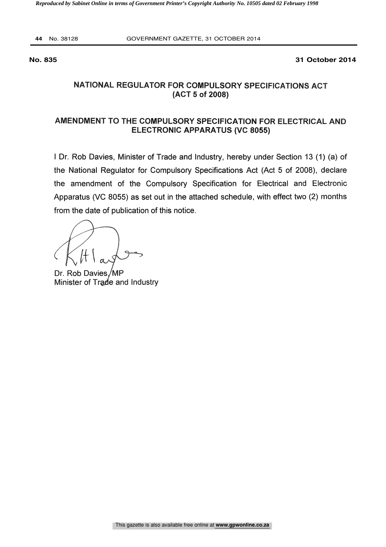**44** No. 38128 GOVERNMENT GAZETTE, 31 OCTOBER 2014

**No. 835 31 October 2014**

### NATIONAL REGULATOR FOR COMPULSORY SPECIFICATIONS ACT (ACT 5 of 2008)

### AMENDMENT TO THE COMPULSORY SPECIFICATION FOR ELECTRICAL AND ELECTRONIC APPARATUS (VC 8055)

<sup>I</sup> Dr. Rob Davies, Minister of Trade and Industry, hereby under Section 13 (1) (a) of the National Regulator for Compulsory Specifications Act (Act 5 of 2008), declare the amendment of the Compulsory Specification for Electrical and Electronic Apparatus (VC 8055) as set out in the attached schedule, with effect two (2) months from the date of publication of this notice.

Minister of Trade and Industry

Dr. Rob Davies/MP